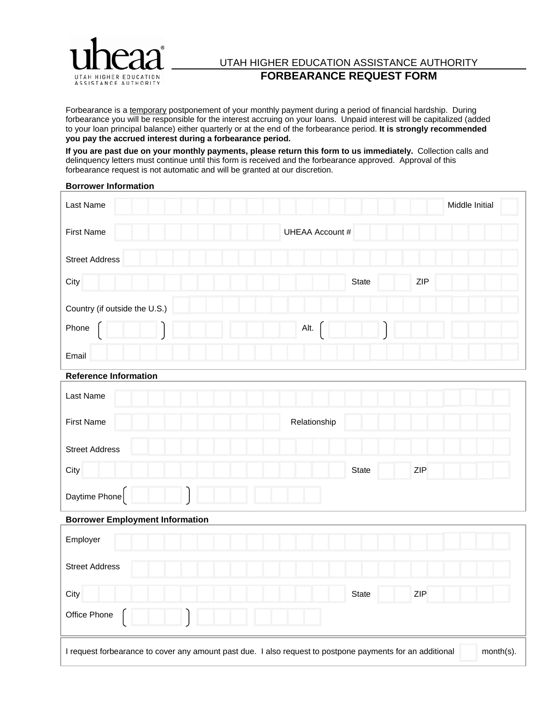

## UTAH HIGHER EDUCATION ASSISTANCE AUTHORITY **FORBEARANCE REQUEST FORM**

Forbearance is a temporary postponement of your monthly payment during a period of financial hardship. During forbearance you will be responsible for the interest accruing on your loans. Unpaid interest will be capitalized (added to your loan principal balance) either quarterly or at the end of the forbearance period. **It is strongly recommended you pay the accrued interest during a forbearance period.**

**If you are past due on your monthly payments, please return this form to us immediately.** Collection calls and delinquency letters must continue until this form is received and the forbearance approved. Approval of this forbearance request is not automatic and will be granted at our discretion.

## **Borrower Information**

| Last Name                                                                                                              |                            | Middle Initial |
|------------------------------------------------------------------------------------------------------------------------|----------------------------|----------------|
| <b>First Name</b>                                                                                                      | <b>UHEAA Account #</b>     |                |
| <b>Street Address</b>                                                                                                  |                            |                |
| City                                                                                                                   | <b>ZIP</b><br><b>State</b> |                |
| Country (if outside the U.S.)                                                                                          |                            |                |
| Phone                                                                                                                  | Alt.                       |                |
| Email                                                                                                                  |                            |                |
| <b>Reference Information</b>                                                                                           |                            |                |
| Last Name                                                                                                              |                            |                |
| <b>First Name</b>                                                                                                      | Relationship               |                |
| <b>Street Address</b>                                                                                                  |                            |                |
| City                                                                                                                   | State<br>ZIP               |                |
| Daytime Phone                                                                                                          |                            |                |
| <b>Borrower Employment Information</b>                                                                                 |                            |                |
| Employer                                                                                                               |                            |                |
| <b>Street Address</b>                                                                                                  |                            |                |
| City                                                                                                                   | ZIP<br><b>State</b>        |                |
| Office Phone                                                                                                           |                            |                |
| month(s).<br>I request forbearance to cover any amount past due. I also request to postpone payments for an additional |                            |                |